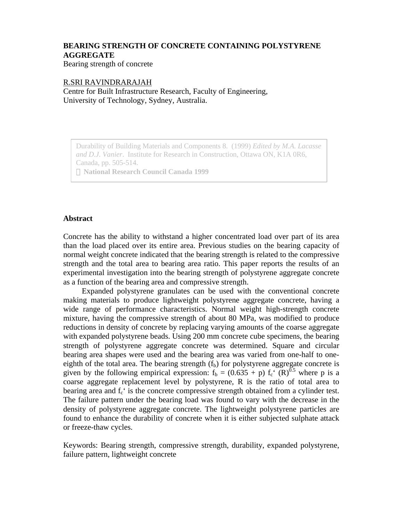# **BEARING STRENGTH OF CONCRETE CONTAINING POLYSTYRENE AGGREGATE**

Bearing strength of concrete

### R.SRI RAVINDRARAJAH

Centre for Built Infrastructure Research, Faculty of Engineering, University of Technology, Sydney, Australia.

Durability of Building Materials and Components 8. (1999) *Edited by M.A. Lacasse and D.J. Vanier*. Institute for Research in Construction, Ottawa ON, K1A 0R6, Canada, pp. 505-514.

 **National Research Council Canada 1999**

## **Abstract**

Concrete has the ability to withstand a higher concentrated load over part of its area than the load placed over its entire area. Previous studies on the bearing capacity of normal weight concrete indicated that the bearing strength is related to the compressive strength and the total area to bearing area ratio. This paper reports the results of an experimental investigation into the bearing strength of polystyrene aggregate concrete as a function of the bearing area and compressive strength.

Expanded polystyrene granulates can be used with the conventional concrete making materials to produce lightweight polystyrene aggregate concrete, having a wide range of performance characteristics. Normal weight high-strength concrete mixture, having the compressive strength of about 80 MPa, was modified to produce reductions in density of concrete by replacing varying amounts of the coarse aggregate with expanded polystyrene beads. Using 200 mm concrete cube specimens, the bearing strength of polystyrene aggregate concrete was determined. Square and circular bearing area shapes were used and the bearing area was varied from one-half to oneeighth of the total area. The bearing strength  $(f<sub>b</sub>)$  for polystyrene aggregate concrete is given by the following empirical expression:  $f_b = (0.635 + p) f_c^{\text{c}}(R)^{0.5}$  where p is a coarse aggregate replacement level by polystyrene, R is the ratio of total area to bearing area and  $f_c$  is the concrete compressive strength obtained from a cylinder test. The failure pattern under the bearing load was found to vary with the decrease in the density of polystyrene aggregate concrete. The lightweight polystyrene particles are found to enhance the durability of concrete when it is either subjected sulphate attack or freeze-thaw cycles.

Keywords: Bearing strength, compressive strength, durability, expanded polystyrene, failure pattern, lightweight concrete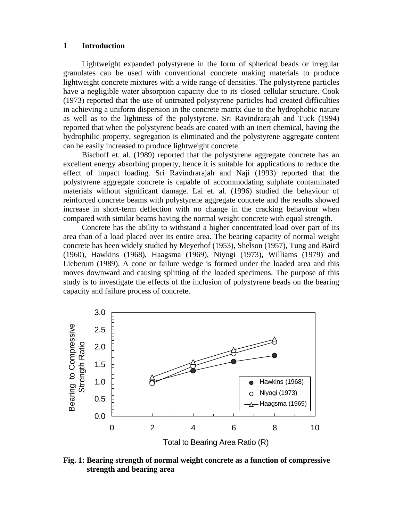#### **1 Introduction**

Lightweight expanded polystyrene in the form of spherical beads or irregular granulates can be used with conventional concrete making materials to produce lightweight concrete mixtures with a wide range of densities. The polystyrene particles have a negligible water absorption capacity due to its closed cellular structure. Cook (1973) reported that the use of untreated polystyrene particles had created difficulties in achieving a uniform dispersion in the concrete matrix due to the hydrophobic nature as well as to the lightness of the polystyrene. Sri Ravindrarajah and Tuck (1994) reported that when the polystyrene beads are coated with an inert chemical, having the hydrophilic property, segregation is eliminated and the polystyrene aggregate content can be easily increased to produce lightweight concrete.

Bischoff et. al. (1989) reported that the polystyrene aggregate concrete has an excellent energy absorbing property, hence it is suitable for applications to reduce the effect of impact loading. Sri Ravindrarajah and Naji (1993) reported that the polystyrene aggregate concrete is capable of accommodating sulphate contaminated materials without significant damage. Lai et. al. (1996) studied the behaviour of reinforced concrete beams with polystyrene aggregate concrete and the results showed increase in short-term deflection with no change in the cracking behaviour when compared with similar beams having the normal weight concrete with equal strength.

Concrete has the ability to withstand a higher concentrated load over part of its area than of a load placed over its entire area. The bearing capacity of normal weight concrete has been widely studied by Meyerhof (1953), Shelson (1957), Tung and Baird (1960), Hawkins (1968), Haagsma (1969), Niyogi (1973), Williams (1979) and Lieberum (1989). A cone or failure wedge is formed under the loaded area and this moves downward and causing splitting of the loaded specimens. The purpose of this study is to investigate the effects of the inclusion of polystyrene beads on the bearing capacity and failure process of concrete.



**Fig. 1: Bearing strength of normal weight concrete as a function of compressive strength and bearing area**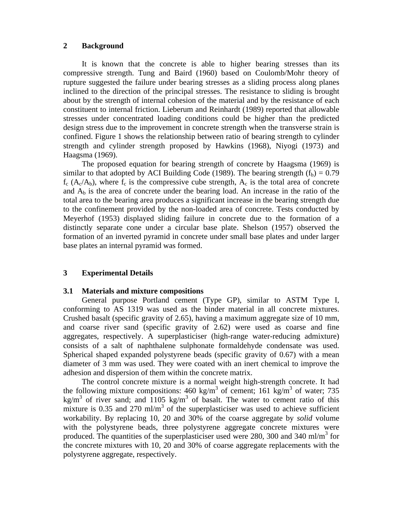#### **2 Background**

It is known that the concrete is able to higher bearing stresses than its compressive strength. Tung and Baird (1960) based on Coulomb/Mohr theory of rupture suggested the failure under bearing stresses as a sliding process along planes inclined to the direction of the principal stresses. The resistance to sliding is brought about by the strength of internal cohesion of the material and by the resistance of each constituent to internal friction. Lieberum and Reinhardt (1989) reported that allowable stresses under concentrated loading conditions could be higher than the predicted design stress due to the improvement in concrete strength when the transverse strain is confined. Figure 1 shows the relationship between ratio of bearing strength to cylinder strength and cylinder strength proposed by Hawkins (1968), Niyogi (1973) and Haagsma (1969).

The proposed equation for bearing strength of concrete by Haagsma (1969) is similar to that adopted by ACI Building Code (1989). The bearing strength  $(f_h) = 0.79$  $f_c$  (A<sub>c</sub>/A<sub>b</sub>), where  $f_c$  is the compressive cube strength, A<sub>c</sub> is the total area of concrete and  $A<sub>b</sub>$  is the area of concrete under the bearing load. An increase in the ratio of the total area to the bearing area produces a significant increase in the bearing strength due to the confinement provided by the non-loaded area of concrete. Tests conducted by Meyerhof (1953) displayed sliding failure in concrete due to the formation of a distinctly separate cone under a circular base plate. Shelson (1957) observed the formation of an inverted pyramid in concrete under small base plates and under larger base plates an internal pyramid was formed.

## **3 Experimental Details**

#### **3.1 Materials and mixture compositions**

General purpose Portland cement (Type GP), similar to ASTM Type I, conforming to AS 1319 was used as the binder material in all concrete mixtures. Crushed basalt (specific gravity of 2.65), having a maximum aggregate size of 10 mm, and coarse river sand (specific gravity of 2.62) were used as coarse and fine aggregates, respectively. A superplasticiser (high-range water-reducing admixture) consists of a salt of naphthalene sulphonate formaldehyde condensate was used. Spherical shaped expanded polystyrene beads (specific gravity of 0.67) with a mean diameter of 3 mm was used. They were coated with an inert chemical to improve the adhesion and dispersion of them within the concrete matrix.

The control concrete mixture is a normal weight high-strength concrete. It had the following mixture compositions:  $460 \text{ kg/m}^3$  of cement;  $161 \text{ kg/m}^3$  of water; 735 kg/m<sup>3</sup> of river sand; and 1105 kg/m<sup>3</sup> of basalt. The water to cement ratio of this mixture is 0.35 and 270 ml/m<sup>3</sup> of the superplasticiser was used to achieve sufficient workability. By replacing 10, 20 and 30% of the coarse aggregate by *solid* volume with the polystyrene beads, three polystyrene aggregate concrete mixtures were produced. The quantities of the superplasticiser used were 280, 300 and 340 ml/m<sup>3</sup> for the concrete mixtures with 10, 20 and 30% of coarse aggregate replacements with the polystyrene aggregate, respectively.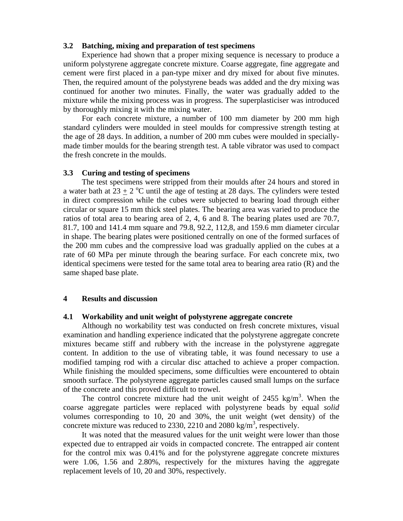#### **3.2 Batching, mixing and preparation of test specimens**

Experience had shown that a proper mixing sequence is necessary to produce a uniform polystyrene aggregate concrete mixture. Coarse aggregate, fine aggregate and cement were first placed in a pan-type mixer and dry mixed for about five minutes. Then, the required amount of the polystyrene beads was added and the dry mixing was continued for another two minutes. Finally, the water was gradually added to the mixture while the mixing process was in progress. The superplasticiser was introduced by thoroughly mixing it with the mixing water.

For each concrete mixture, a number of 100 mm diameter by 200 mm high standard cylinders were moulded in steel moulds for compressive strength testing at the age of 28 days. In addition, a number of 200 mm cubes were moulded in speciallymade timber moulds for the bearing strength test. A table vibrator was used to compact the fresh concrete in the moulds.

## **3.3 Curing and testing of specimens**

The test specimens were stripped from their moulds after 24 hours and stored in a water bath at  $23 \pm 2$  °C until the age of testing at 28 days. The cylinders were tested in direct compression while the cubes were subjected to bearing load through either circular or square 15 mm thick steel plates. The bearing area was varied to produce the ratios of total area to bearing area of 2, 4, 6 and 8. The bearing plates used are 70.7, 81.7, 100 and 141.4 mm square and 79.8, 92.2, 112,8, and 159.6 mm diameter circular in shape. The bearing plates were positioned centrally on one of the formed surfaces of the 200 mm cubes and the compressive load was gradually applied on the cubes at a rate of 60 MPa per minute through the bearing surface. For each concrete mix, two identical specimens were tested for the same total area to bearing area ratio (R) and the same shaped base plate.

#### **4 Results and discussion**

#### **4.1 Workability and unit weight of polystyrene aggregate concrete**

Although no workability test was conducted on fresh concrete mixtures, visual examination and handling experience indicated that the polystyrene aggregate concrete mixtures became stiff and rubbery with the increase in the polystyrene aggregate content. In addition to the use of vibrating table, it was found necessary to use a modified tamping rod with a circular disc attached to achieve a proper compaction. While finishing the moulded specimens, some difficulties were encountered to obtain smooth surface. The polystyrene aggregate particles caused small lumps on the surface of the concrete and this proved difficult to trowel.

The control concrete mixture had the unit weight of 2455 kg/m<sup>3</sup>. When the coarse aggregate particles were replaced with polystyrene beads by equal *solid* volumes corresponding to 10, 20 and 30%, the unit weight (wet density) of the concrete mixture was reduced to 2330, 2210 and 2080 kg/m<sup>3</sup>, respectively.

It was noted that the measured values for the unit weight were lower than those expected due to entrapped air voids in compacted concrete. The entrapped air content for the control mix was 0.41% and for the polystyrene aggregate concrete mixtures were 1.06, 1.56 and 2.80%, respectively for the mixtures having the aggregate replacement levels of 10, 20 and 30%, respectively.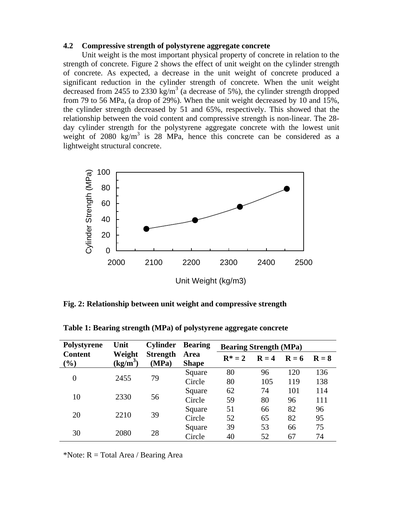#### **4.2 Compressive strength of polystyrene aggregate concrete**

Unit weight is the most important physical property of concrete in relation to the strength of concrete. Figure 2 shows the effect of unit weight on the cylinder strength of concrete. As expected, a decrease in the unit weight of concrete produced a significant reduction in the cylinder strength of concrete. When the unit weight decreased from 2455 to 2330 kg/m<sup>3</sup> (a decrease of 5%), the cylinder strength dropped from 79 to 56 MPa, (a drop of 29%). When the unit weight decreased by 10 and 15%, the cylinder strength decreased by 51 and 65%, respectively. This showed that the relationship between the void content and compressive strength is non-linear. The 28 day cylinder strength for the polystyrene aggregate concrete with the lowest unit weight of  $2080 \text{ kg/m}^3$  is  $28 \text{ MPa}$ , hence this concrete can be considered as a lightweight structural concrete.



**Fig. 2: Relationship between unit weight and compressive strength**

| Polystyrene              | Unit                                     | <b>Cylinder</b>          | <b>Bearing</b>       | <b>Bearing Strength (MPa)</b> |         |         |         |
|--------------------------|------------------------------------------|--------------------------|----------------------|-------------------------------|---------|---------|---------|
| <b>Content</b><br>$(\%)$ | Weight<br>$\frac{\text{kg}}{\text{m}^3}$ | <b>Strength</b><br>(MPa) | Area<br><b>Shape</b> | $R^* = 2$                     | $R = 4$ | $R = 6$ | $R = 8$ |
| $\overline{0}$           | 2455                                     | 79                       | Square               | 80                            | 96      | 120     | 136     |
|                          |                                          |                          | Circle               | 80                            | 105     | 119     | 138     |
| 10                       | 2330                                     | 56                       | Square               | 62                            | 74      | 101     | 114     |
|                          |                                          |                          | Circle               | 59                            | 80      | 96      | 111     |
| 20                       | 2210                                     | 39                       | Square               | 51                            | 66      | 82      | 96      |
|                          |                                          |                          | Circle               | 52                            | 65      | 82      | 95      |
| 30                       | 2080                                     | 28                       | Square               | 39                            | 53      | 66      | 75      |
|                          |                                          |                          | Circle               | 40                            | 52      | 67      | 74      |

**Table 1: Bearing strength (MPa) of polystyrene aggregate concrete**

\*Note:  $R = Total Area / Bearing Area$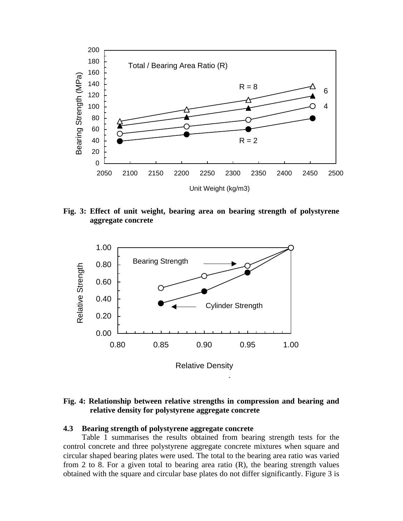

**Fig. 3: Effect of unit weight, bearing area on bearing strength of polystyrene aggregate concrete**



**Fig. 4: Relationship between relative strengths in compression and bearing and relative density for polystyrene aggregate concrete**

#### **4.3 Bearing strength of polystyrene aggregate concrete**

Table 1 summarises the results obtained from bearing strength tests for the control concrete and three polystyrene aggregate concrete mixtures when square and circular shaped bearing plates were used. The total to the bearing area ratio was varied from 2 to 8. For a given total to bearing area ratio  $(R)$ , the bearing strength values obtained with the square and circular base plates do not differ significantly. Figure 3 is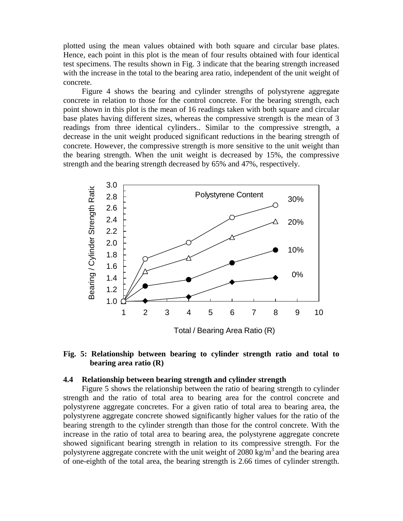plotted using the mean values obtained with both square and circular base plates. Hence, each point in this plot is the mean of four results obtained with four identical test specimens. The results shown in Fig. 3 indicate that the bearing strength increased with the increase in the total to the bearing area ratio, independent of the unit weight of concrete.

Figure 4 shows the bearing and cylinder strengths of polystyrene aggregate concrete in relation to those for the control concrete. For the bearing strength, each point shown in this plot is the mean of 16 readings taken with both square and circular base plates having different sizes, whereas the compressive strength is the mean of 3 readings from three identical cylinders.. Similar to the compressive strength, a decrease in the unit weight produced significant reductions in the bearing strength of concrete. However, the compressive strength is more sensitive to the unit weight than the bearing strength. When the unit weight is decreased by 15%, the compressive strength and the bearing strength decreased by 65% and 47%, respectively.



## **Fig. 5: Relationship between bearing to cylinder strength ratio and total to bearing area ratio (R)**

#### **4.4 Relationship between bearing strength and cylinder strength**

Figure 5 shows the relationship between the ratio of bearing strength to cylinder strength and the ratio of total area to bearing area for the control concrete and polystyrene aggregate concretes. For a given ratio of total area to bearing area, the polystyrene aggregate concrete showed significantly higher values for the ratio of the bearing strength to the cylinder strength than those for the control concrete. With the increase in the ratio of total area to bearing area, the polystyrene aggregate concrete showed significant bearing strength in relation to its compressive strength. For the polystyrene aggregate concrete with the unit weight of 2080 kg/m<sup>3</sup> and the bearing area of one-eighth of the total area, the bearing strength is 2.66 times of cylinder strength.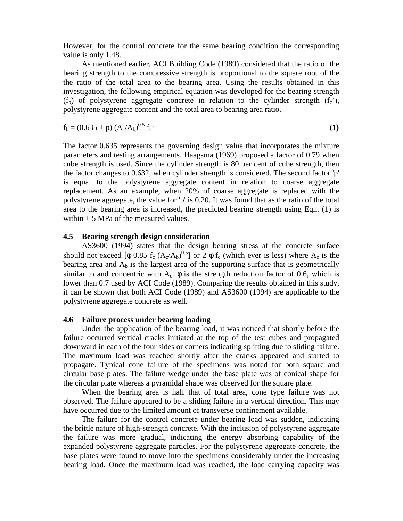However, for the control concrete for the same bearing condition the corresponding value is only 1.48.

As mentioned earlier, ACI Building Code (1989) considered that the ratio of the bearing strength to the compressive strength is proportional to the square root of the the ratio of the total area to the bearing area. Using the results obtained in this investigation, the following empirical equation was developed for the bearing strength  $(f_b)$  of polystyrene aggregate concrete in relation to the cylinder strength  $(f_c)$ , polystyrene aggregate content and the total area to bearing area ratio.

$$
f_b = (0.635 + p) (A_c/A_b)^{0.5} f_c
$$
 (1)

The factor 0.635 represents the governing design value that incorporates the mixture parameters and testing arrangements. Haagsma (1969) proposed a factor of 0.79 when cube strength is used. Since the cylinder strength is 80 per cent of cube strength, then the factor changes to 0.632, when cylinder strength is considered. The second factor 'p' is equal to the polystyrene aggregate content in relation to coarse aggregate replacement. As an example, when 20% of coarse aggregate is replaced with the polystyrene aggregate, the value for 'p' is 0.20. It was found that as the ratio of the total area to the bearing area is increased, the predicted bearing strength using Eqn. (1) is within  $+ 5$  MPa of the measured values.

## **4.5 Bearing strength design consideration**

AS3600 (1994) states that the design bearing stress at the concrete surface should not exceed [φ 0.85  $f_c$  (A<sub>c</sub>/A<sub>b</sub>)<sup>0.5</sup>] or 2 φ  $f_c$  (which ever is less) where A<sub>c</sub> is the bearing area and  $A<sub>b</sub>$  is the largest area of the supporting surface that is geometrically similar to and concentric with  $A_c$ .  $\phi$  is the strength reduction factor of 0.6, which is lower than 0.7 used by ACI Code (1989). Comparing the results obtained in this study, it can be shown that both ACI Code (1989) and AS3600 (1994) are applicable to the polystyrene aggregate concrete as well.

## **4.6 Failure process under bearing loading**

Under the application of the bearing load, it was noticed that shortly before the failure occurred vertical cracks initiated at the top of the test cubes and propagated downward in each of the four sides or corners indicating splitting due to sliding failure. The maximum load was reached shortly after the cracks appeared and started to propagate. Typical cone failure of the specimens was noted for both square and circular base plates. The failure wedge under the base plate was of conical shape for the circular plate whereas a pyramidal shape was observed for the square plate.

When the bearing area is half that of total area, cone type failure was not observed. The failure appeared to be a sliding failure in a vertical direction. This may have occurred due to the limited amount of transverse confinement available.

The failure for the control concrete under bearing load was sudden, indicating the brittle nature of high-strength concrete. With the inclusion of polystyrene aggregate the failure was more gradual, indicating the energy absorbing capability of the expanded polystyrene aggregate particles. For the polystyrene aggregate concrete, the base plates were found to move into the specimens considerably under the increasing bearing load. Once the maximum load was reached, the load carrying capacity was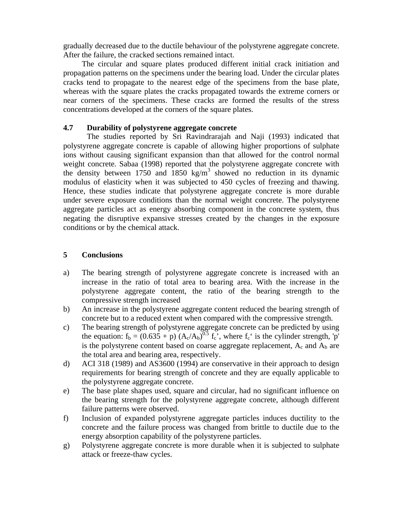gradually decreased due to the ductile behaviour of the polystyrene aggregate concrete. After the failure, the cracked sections remained intact.

The circular and square plates produced different initial crack initiation and propagation patterns on the specimens under the bearing load. Under the circular plates cracks tend to propagate to the nearest edge of the specimens from the base plate, whereas with the square plates the cracks propagated towards the extreme corners or near corners of the specimens. These cracks are formed the results of the stress concentrations developed at the corners of the square plates.

## **4.7 Durability of polystyrene aggregate concrete**

The studies reported by Sri Ravindrarajah and Naji (1993) indicated that polystyrene aggregate concrete is capable of allowing higher proportions of sulphate ions without causing significant expansion than that allowed for the control normal weight concrete. Sabaa (1998) reported that the polystyrene aggregate concrete with the density between 1750 and 1850 kg/m<sup>3</sup> showed no reduction in its dynamic modulus of elasticity when it was subjected to 450 cycles of freezing and thawing. Hence, these studies indicate that polystyrene aggregate concrete is more durable under severe exposure conditions than the normal weight concrete. The polystyrene aggregate particles act as energy absorbing component in the concrete system, thus negating the disruptive expansive stresses created by the changes in the exposure conditions or by the chemical attack.

## **5 Conclusions**

- a) The bearing strength of polystyrene aggregate concrete is increased with an increase in the ratio of total area to bearing area. With the increase in the polystyrene aggregate content, the ratio of the bearing strength to the compressive strength increased
- b) An increase in the polystyrene aggregate content reduced the bearing strength of concrete but to a reduced extent when compared with the compressive strength.
- c) The bearing strength of polystyrene aggregate concrete can be predicted by using the equation:  $f_b = (0.635 + p) (A_c/A_b)^{0.5} f_c$ , where  $f_c$  is the cylinder strength, 'p' is the polystyrene content based on coarse aggregate replacement,  $A_c$  and  $A_b$  are the total area and bearing area, respectively.
- d) ACI 318 (1989) and AS3600 (1994) are conservative in their approach to design requirements for bearing strength of concrete and they are equally applicable to the polystyrene aggregate concrete.
- e) The base plate shapes used, square and circular, had no significant influence on the bearing strength for the polystyrene aggregate concrete, although different failure patterns were observed.
- f) Inclusion of expanded polystyrene aggregate particles induces ductility to the concrete and the failure process was changed from brittle to ductile due to the energy absorption capability of the polystyrene particles.
- g) Polystyrene aggregate concrete is more durable when it is subjected to sulphate attack or freeze-thaw cycles.